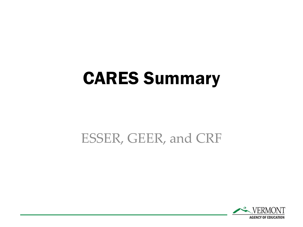## CARES Summary

#### ESSER, GEER, and CRF

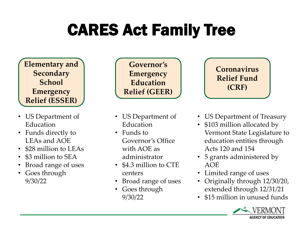## CARES Act Family Tree

**Elementary and Secondary School Emergency Relief (ESSER)**

- US Department of Education
- Funds directly to LEAs and AOE
- \$28 million to LEAs
- \$3 million to SEA
- Broad range of uses
- Goes through 9/30/22

**Governor's Emergency Education Relief (GEER)**

- US Department of Education
- Funds to Governor's Office with AOE as administrator
- \$4.3 million to CTE centers
- Broad range of uses
- Goes through 9/30/22



- US Department of Treasury
- \$103 million allocated by Vermont State Legislature to education entities through Acts 120 and 154
- 5 grants administered by AOE
- Limited range of uses
- Originally through 12/30/20, extended through 12/31/21
- \$15 million in unused funds

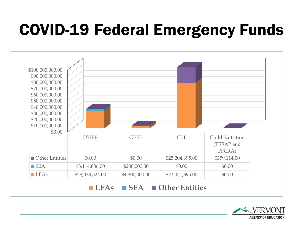### COVID-19 Federal Emergency Funds



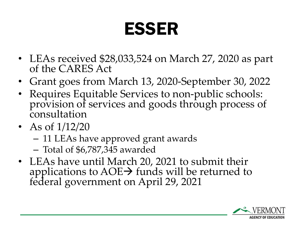# ESSER

- LEAs received \$28,033,524 on March 27, 2020 as part of the CARES Act
- Grant goes from March 13, 2020-September 30, 2022
- Requires Equitable Services to non-public schools: provision of services and goods through process of consultation
- As of  $1/12/20$ 
	- 11 LEAs have approved grant awards
	- Total of \$6,787,345 awarded
- LEAs have until March 20, 2021 to submit their applications to  $AOE \rightarrow$  funds will be returned to federal government on April 29, 2021

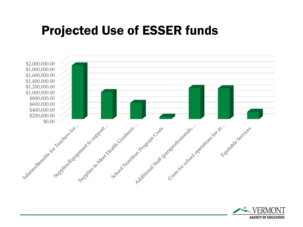#### Projected Use of ESSER funds



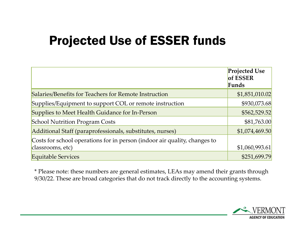### Projected Use of ESSER funds

|                                                                           | <b>Projected Use</b><br>of ESSER |
|---------------------------------------------------------------------------|----------------------------------|
|                                                                           | Funds                            |
| Salaries/Benefits for Teachers for Remote Instruction                     | \$1,851,010.02                   |
| Supplies/Equipment to support COL or remote instruction                   | \$930,073.68                     |
| Supplies to Meet Health Guidance for In-Person                            | \$562,529.52                     |
| <b>School Nutrition Program Costs</b>                                     | \$81,763.00                      |
| Additional Staff (paraprofessionals, substitutes, nurses)                 | \$1,074,469.50                   |
| Costs for school operations for in person (indoor air quality, changes to |                                  |
| classrooms, etc)                                                          | \$1,060,993.61                   |
| <b>Equitable Services</b>                                                 | \$251,699.79                     |

\* Please note: these numbers are general estimates, LEAs may amend their grants through 9/30/22. These are broad categories that do not track directly to the accounting systems.

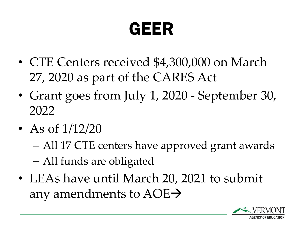# GEER

- CTE Centers received \$4,300,000 on March 27, 2020 as part of the CARES Act
- Grant goes from July 1, 2020 September 30, 2022
- As of  $1/12/20$ 
	- All 17 CTE centers have approved grant awards – All funds are obligated
- LEAs have until March 20, 2021 to submit any amendments to AOE→

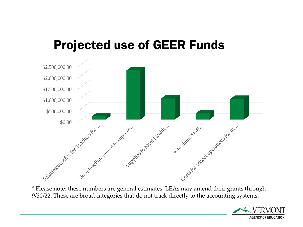#### Projected use of GEER Funds



\* Please note: these numbers are general estimates, LEAs may amend their grants through 9/30/22. These are broad categories that do not track directly to the accounting systems.

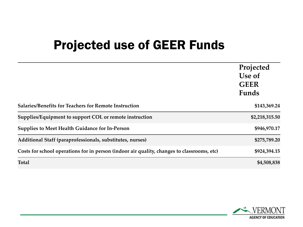### Projected use of GEER Funds

|                                                                                            | Projected<br>Use of<br><b>GEER</b><br>Funds |
|--------------------------------------------------------------------------------------------|---------------------------------------------|
| <b>Salaries/Benefits for Teachers for Remote Instruction</b>                               | \$143,369.24                                |
| Supplies/Equipment to support COL or remote instruction                                    | \$2,218,315.50                              |
| <b>Supplies to Meet Health Guidance for In-Person</b>                                      | \$946,970.17                                |
| Additional Staff (paraprofessionals, substitutes, nurses)                                  | \$275,789.20                                |
| Costs for school operations for in person (indoor air quality, changes to classrooms, etc) | \$924,394.15                                |
| <b>Total</b>                                                                               | \$4,508,838                                 |

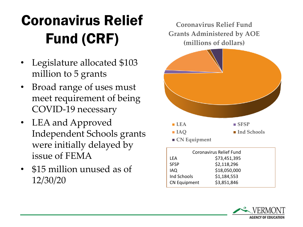### Coronavirus Relief Fund (CRF)

- Legislature allocated \$103 million to 5 grants
- Broad range of uses must meet requirement of being COVID-19 necessary
- LEA and Approved Independent Schools grants were initially delayed by issue of FEMA
- \$15 million unused as of 12/30/20

**Coronavirus Relief Fund Grants Administered by AOE (millions of dollars)**



|                     | Coronavirus Relief Fund |
|---------------------|-------------------------|
| LEA                 | \$73,451,395            |
| <b>SFSP</b>         | \$2,118,296             |
| IAQ                 | \$18,050,000            |
| Ind Schools         | \$1,184,553             |
| <b>CN Equipment</b> | \$3,851,846             |

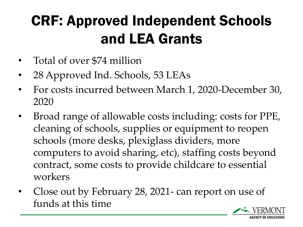### CRF: Approved Independent Schools and LEA Grants

- Total of over \$74 million
- 28 Approved Ind. Schools, 53 LEAs
- For costs incurred between March 1, 2020-December 30, 2020
- Broad range of allowable costs including: costs for PPE, cleaning of schools, supplies or equipment to reopen schools (more desks, plexiglass dividers, more computers to avoid sharing, etc), staffing costs beyond contract, some costs to provide childcare to essential workers
- Close out by February 28, 2021- can report on use of funds at this time

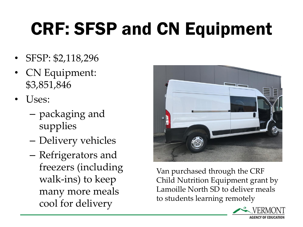# CRF: SFSP and CN Equipment

- SFSP: \$2,118,296
- CN Equipment: \$3,851,846
- Uses:
	- packaging and supplies
	- Delivery vehicles
	- Refrigerators and freezers (including walk-ins) to keep many more meals cool for delivery



Van purchased through the CRF Child Nutrition Equipment grant by Lamoille North SD to deliver meals to students learning remotely